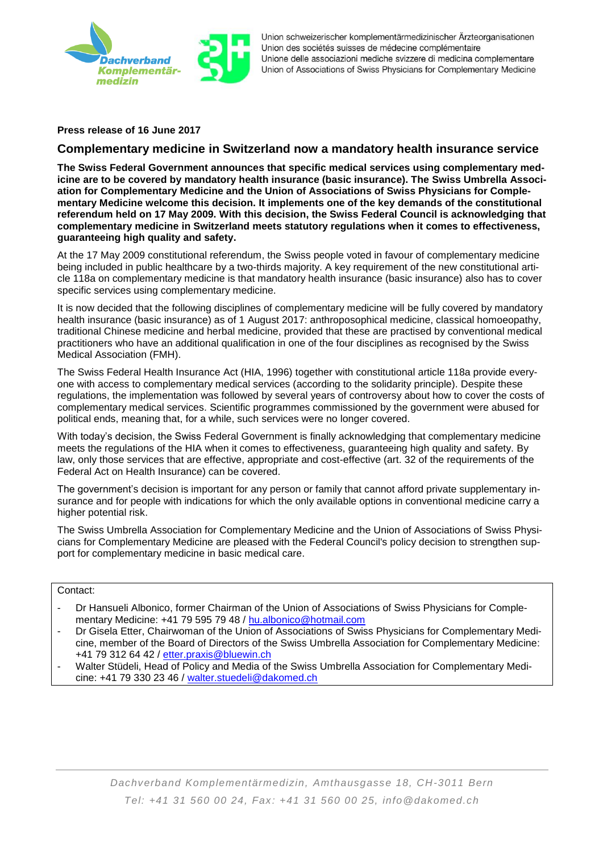

Union schweizerischer komplementärmedizinischer Ärzteorganisationen Union des sociétés suisses de médecine complémentaire Unione delle associazioni mediche svizzere di medicina complementare Union of Associations of Swiss Physicians for Complementary Medicine

**Press release of 16 June 2017**

## **Complementary medicine in Switzerland now a mandatory health insurance service**

**The Swiss Federal Government announces that specific medical services using complementary medicine are to be covered by mandatory health insurance (basic insurance). The Swiss Umbrella Association for Complementary Medicine and the Union of Associations of Swiss Physicians for Complementary Medicine welcome this decision. It implements one of the key demands of the constitutional referendum held on 17 May 2009. With this decision, the Swiss Federal Council is acknowledging that complementary medicine in Switzerland meets statutory regulations when it comes to effectiveness, guaranteeing high quality and safety.**

At the 17 May 2009 constitutional referendum, the Swiss people voted in favour of complementary medicine being included in public healthcare by a two-thirds majority. A key requirement of the new constitutional article 118a on complementary medicine is that mandatory health insurance (basic insurance) also has to cover specific services using complementary medicine.

It is now decided that the following disciplines of complementary medicine will be fully covered by mandatory health insurance (basic insurance) as of 1 August 2017: anthroposophical medicine, classical homoeopathy, traditional Chinese medicine and herbal medicine, provided that these are practised by conventional medical practitioners who have an additional qualification in one of the four disciplines as recognised by the Swiss Medical Association (FMH).

The Swiss Federal Health Insurance Act (HIA, 1996) together with constitutional article 118a provide everyone with access to complementary medical services (according to the solidarity principle). Despite these regulations, the implementation was followed by several years of controversy about how to cover the costs of complementary medical services. Scientific programmes commissioned by the government were abused for political ends, meaning that, for a while, such services were no longer covered.

With today's decision, the Swiss Federal Government is finally acknowledging that complementary medicine meets the regulations of the HIA when it comes to effectiveness, guaranteeing high quality and safety. By law, only those services that are effective, appropriate and cost-effective (art. 32 of the requirements of the Federal Act on Health Insurance) can be covered.

The government's decision is important for any person or family that cannot afford private supplementary insurance and for people with indications for which the only available options in conventional medicine carry a higher potential risk.

The Swiss Umbrella Association for Complementary Medicine and the Union of Associations of Swiss Physicians for Complementary Medicine are pleased with the Federal Council's policy decision to strengthen support for complementary medicine in basic medical care.

## Contact:

- Dr Hansueli Albonico, former Chairman of the Union of Associations of Swiss Physicians for Complementary Medicine: +41 79 595 79 48 / [hu.albonico@hotmail.com](mailto:hu.albonico@hotmail.com)
- Dr Gisela Etter, Chairwoman of the Union of Associations of Swiss Physicians for Complementary Medicine, member of the Board of Directors of the Swiss Umbrella Association for Complementary Medicine: +41 79 312 64 42 / [etter.praxis@bluewin.ch](mailto:etter.praxis@bluewin.ch)
- Walter Stüdeli, Head of Policy and Media of the Swiss Umbrella Association for Complementary Medicine: +41 79 330 23 46 / [walter.stuedeli@dakomed.ch](mailto:walter.stuedeli@dakomed.ch)